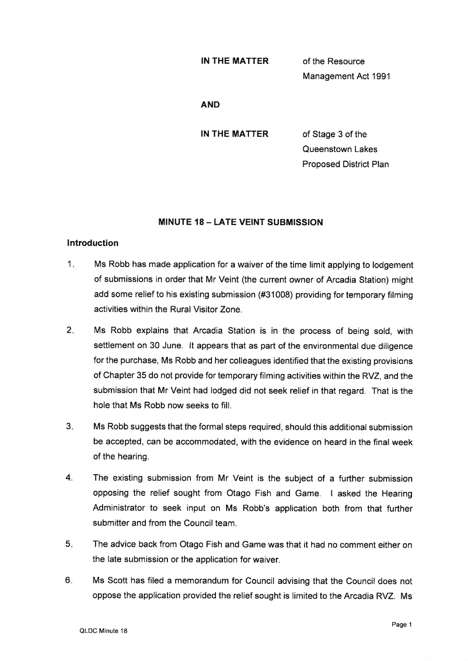## IN THE MATTER

of the Resource Management Act 1991

## AND

IN THE MATTER

of Stage 3 of the Queenstown Lakes Proposed District Plan

# **MINUTE 18 - LATE VEINT SUBMISSION**

## lntroduction

- $1<sub>r</sub>$ Ms Robb has made application for a waiver of the time limit applying to lodgement of submissions in order that Mr Veint (the current owner of Arcadia Station) might add some relief to his existing submission (#31008) providing for temporary filming activities within the Rural Visitor Zone.
- 2. Ms Robb explains that Arcadia Station is in the process of being sold, with settlement on 30 June. lt appears that as part of the environmental due diligence for the purchase, Ms Robb and her colleagues identified that the existing provisions of Chapter 35 do not provide for temporary filming activities within the RVZ, and the submission that Mr Veint had lodged did not seek relief in that regard. That is the hole that Ms Robb now seeks to fill.
- $3<sub>1</sub>$ Ms Robb suggests that the formal steps required, should this additional submission be accepted, can be accommodated, with the evidence on heard in the final week of the hearing.
- 4. The existing submission from Mr Veint is the subject of a further submission opposing the relief sought from Otago Fish and Game. I asked the Hearing Administrator to seek input on Ms Robb's application both from that further submitter and from the Council team.
- 5 The advice back from Otago Fish and Game was that it had no comment either on the late submission or the application for waiver.
- 6 Ms Scott has filed a memorandum for Council advising that the Council does not oppose the application provided the relief sought is limited to the Arcadia RVZ. Ms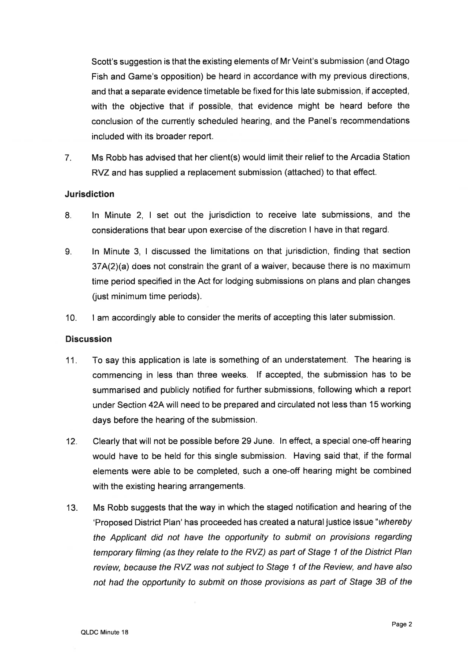Scott's suggestion is that the existing elements of Mr Veint's submission (and Otago Fish and Game's opposition) be heard in accordance with my previous directions, and that a separate evidence timetable be fixed forthis late submission, if accepted, with the objective that if possible, that evidence might be heard before the conclusion of the currently scheduled hearing, and the Panel's recommendations included with its broader report.

7. Ms Robb has advised that her client(s) would limit their relief to the Arcadia Station RVZ and has supplied a replacement submission (attached) to that effect.

# Jurisdiction

- 8. ln Minute 2, I set out the jurisdiction to receive late submissions, and the considerations that bear upon exercise of the discretion I have in that regard.
- 9. ln Minute 3, I discussed the limitations on that jurisdiction, finding that section 37A(2)(a) does not consirain the grant of a waiver, beeause there is no maximum time period specified in the Act for lodging submissions on plans and plan changes (just minimum time periods).
- 10. I am accordingly able to consider the merits of accepting this later submission.

# **Discussion**

- 11. To say this application is late is something of an understatement. The hearing is commencing in less than three weeks. lf accepted, the submission has to be summarised and publicly notified for further submissions, following which a report under Section 42Awill need to be prepared and circulated not less than 15 working days before the hearing of the submission.
- 12. Clearly that will not be possible before 29 June. ln effect, a special one-off hearing would have to be held for this single submission. Having said that, if the formal elements were able to be completed, such a one-off hearing might be combined with the existing hearing arrangements.
- 13. Ms Robb suggests that the way in which the staged notification and hearing of the 'Proposed District Plan' has proceeded has created a natural justice issue "whereby" the Applicant did not have the opportunity to submit on provisions regarding temporary filming (as they relate to the RVZ) as part of Sfage 1 of the District Plan review, because the RVZ was not subject fo Sfage 1 of the Review, and have also not had the opportunity to submit on those provisions as part of Stage 38 of the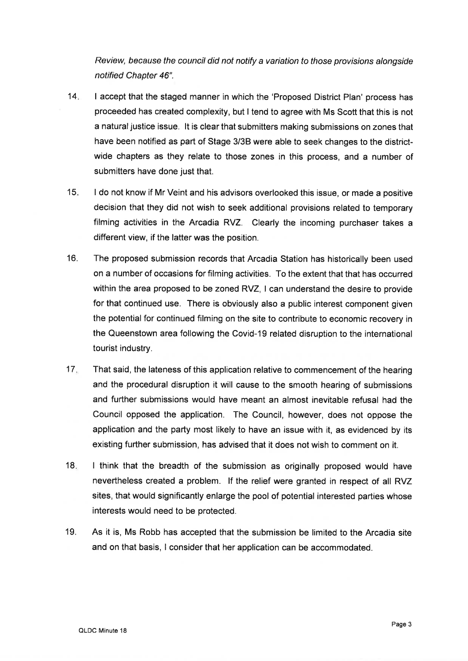Review, because the council did not notify a variation to those provisions alongside notified Chapter 46".

- $14.$ I accept that the staged manner in which the 'Proposed District Plan' process has proceeded has created complexity, but I tend to agree with Ms Scott that this is not a natural justice issue. It is clear that submitters making submissions on zones that have been notified as part of Stage 3/38 were able to seek changes to the districtwide chapters as they relate to those zones in this process, and a number of submitters have done just that.
- 15 I do not know if Mr Veint and his advisors overlooked this issue, or made a positive decision that they did not wish to seek additional provisions related to temporary filming activities in the Arcadia RVZ. Clearly the incoming purchaser takes <sup>a</sup> different view, if the latter was the position.
- 16. The proposed submission records that Arcadia Station has historically been used on a number of occasions for filming activities. To the extent that that has occurred within the area proposed to be zoned RVZ, I can understand the desire to provide for that continued use. There is obviously also a public interest component given the potential for continued filming on the site to contribute to economic recovery in the Queenstown area following the Covid-19 related disruption to the international tourist industry.
- 17 That said, the lateness of this application relative to commencement of the hearing and the procedural disruption it will cause to the smooth hearing of submissions and further submissions would have meant an almost inevitable refusal had the Council opposed the application. The Council, however, does not oppose the application and the party most likely to have an issue with it, as evidenced by its existing further submission, has advised that it does not wish to comment on it.
- 18 I think that the breadth of the submission as originally proposed would have nevertheless created a problem. lf the relief were granted in respect of all RVZ sites, that would significantly enlarge the pool of potential interested parties whose interests would need to be protected.
- 19. As it is, Ms Robb has accepted that the submission be limited to the Arcadia site and on that basis, I consider that her application can be accommodated.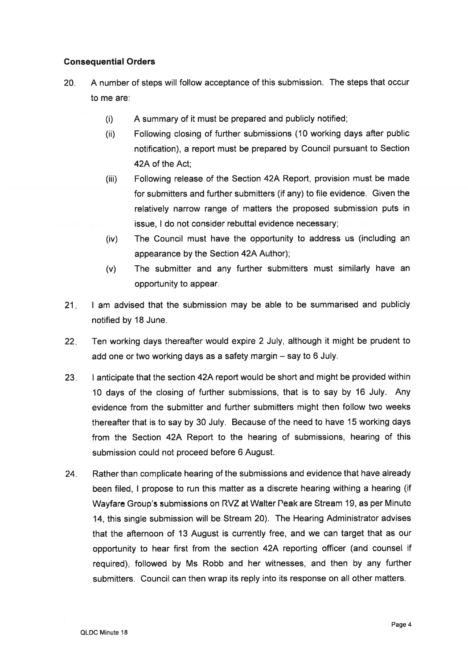# Consequential Orders

- 20. <sup>A</sup>number of steps will follow acceptance of this submission. The steps that occur to me are:
	- (i) A summary of it must be prepared and publicly notified;
	- (ii) Following closing of further submissions (10 working days after public notification), a report must be prepared by Council pursuant to Section 42Aof the Act;
	- Following release of the Section 42A Report, provision must be made for submitters and further submitters (if any) to file evidence. Given the relatively narrow range of matters the proposed submission puts in issue, I do not consider rebuttal evidence necessary; (iii)
	- The Council must have the opportunity to address us (including an appearance by the Section 42A Author); (iv)
	- The submitter and any further submitters must similarly have an opportunity to appear. (v)
- $21.7$ I am advised that the submission may be able to be summarised and publicly notified by 18 June.
- $22.$ Ten working days thereafter would expire 2 July, although it might be prudent to add one or two working days as a safety margin - say to 6 July.
- 23 I anticipate that the section 42A report would be short and might be provided within 10 days of the closing of further submissions, that is to say by 16 July. Any evidence from the submitter and further submitters might then follow two weeks thereafter that is to say by 30 July. Because of the need to have 15 working days from the Section 42A Report to the hearing of submissions, hearing of this submission could not proceed before 6 August.
- Rather than complicate hearing of the submissions and evidence that have already been filed, I propose to run this matter as a discrete hearing withing a hearing (if Wayfare Group's submissions on RVZ at Walter Peak are Stream 19, ag per Minute 14, this single submission will be Stream 20). The Hearing Administrator advises that the afiernoon of 13 August is currently free, and we can target that as our opportunity to hear first from the section 42A reporting officer (and counsel if required), followed by Ms Robb and her witnesses, and then by any further submitters. Council can then wrap its reply into its response on all other matters. 24.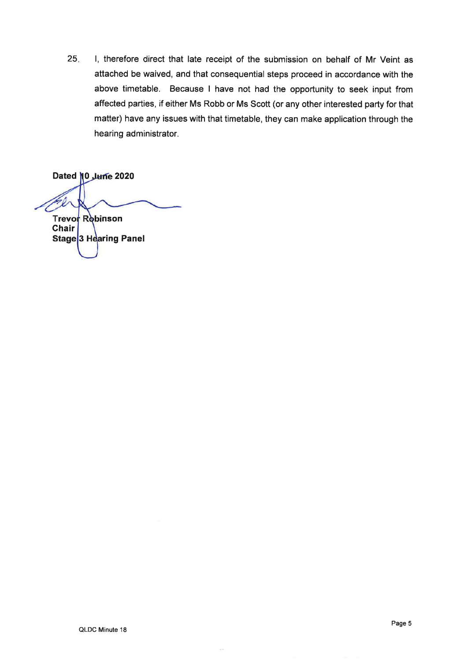25 l, therefore direct that late receipt of the submission on behalf of Mr Veint as attached be waived, and that consequential steps proceed in accordance with the above timetable. Because I have not had the opportunity to seek input from affected parties, if either Ms Robb or Ms Scott (or any other interested party for that matter) have any issues with that timetable, they can make application through the hearing administrator.

Dated 0 2020 Ú. Trevor Rebinson **Chair** Stage<sup>3</sup> Hearing Panel

 $\sim$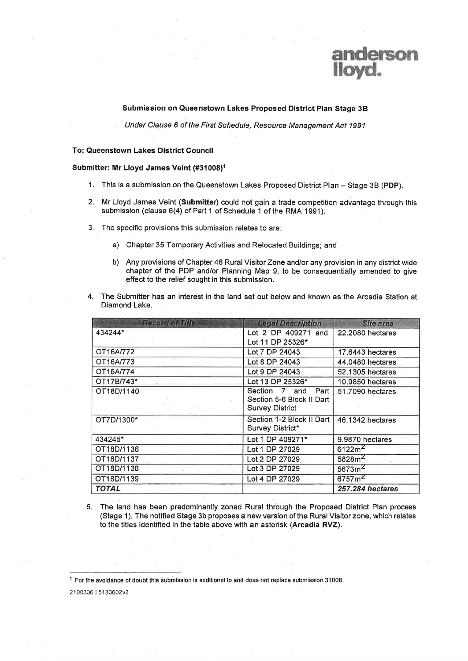

### Submission on Queenstown Lakes Proposed District Plan Stage 3B

Under Clause 6 of the First Schedule, Resource Management Act 1991

### To: Queenstown Lakes District Gouncil

#### Submitter: Mr Lloyd James Veint (#31008)<sup>1</sup>

- 1. This is a submission on the Queenstown Lakes Proposed District Plan Stage 3B (PDP).
- 2. Mr Lloyd James Veint (Submitter) could not gain a trade competition advantage through this submission (clause 6(4) of Part 1 of Schedule 1 of the RMA 1991).
- 3. The specific provisions this submission relates to are:
	- a) Chapter 35 Temporary Activities and Relocated Buildings; and
	- b) Any provisions of Chapter 46 Rural Visitor Zone and/or any provision in any district wide chapter of the PDP and/or Planning Map 9, to be consequentially amended to give effect to the relief sought in this submission.
- 4. The Submitter has an interest in the land set out below and known as the Arcadia Station at Diamond Lake.

| <b>Record of Title Highl</b> | <b>Legal Description</b>  | <b>Site area</b>        |
|------------------------------|---------------------------|-------------------------|
| 434244*                      | Lot 2 DP 409271 and       | 22.2080 hectares        |
|                              | Lot 11 DP 25326*          |                         |
| OT16A/772                    | Lot 7 DP 24043            | 17.6443 hectares        |
| OT16A/773                    | Lot 8 DP 24043            | 44.0480 hectares        |
| OT16A/774                    | Lot 9 DP 24043            | 52.1305 hectares        |
| OT17B/743*                   | Lot 13 DP 25326*          | 10.9850 hectares        |
| OT18D/1140                   | Part<br>Section 7 and     | 51.7090 hectares        |
|                              | Section 5-6 Block II Dart |                         |
|                              | <b>Survey District</b>    |                         |
| OT7D/1300*                   | Section 1-2 Block II Dart | 46.1342 hectares        |
|                              | Survey District*          |                         |
| 434245*                      | Lot 1 DP 409271*          | 9.9870 hectares         |
| OT18D/1136                   | Lot 1 DP 27029            | 6122m <sup>2</sup>      |
| OT18D/1137                   | Lot 2 DP 27029            | 5828m <sup>2</sup>      |
| OT18D/1138<br>$\frac{1}{2}$  | Lot 3 DP 27029            | 5673m <sup>2</sup>      |
| OT18D/1139                   | Lot 4 DP 27029            | 6757m <sup>2</sup>      |
| <b>TOTAL</b>                 |                           | <b>257.284 hectares</b> |

5. The land has been predominantly zoned Rural through the Proposed District Plan process (Stage 1). The notified Stage 3b proposes a new version of the Rural Visitor zone, which relates to the titles identified in the table above with an asterisk (Arcadia RVZ).

 $1$  For the avoidance of doubt this submission is additional to and does not replace submission 31008.

<sup>21</sup>00336 | 51 83602v2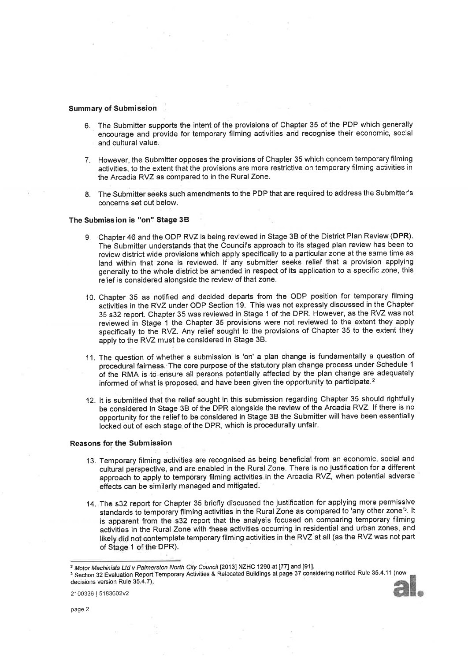### Summary of Submission

- 6. The Submitter supports the intent of the provisions of Chapter 35 of the PDP which generally encourage and provide for temporary filming activities and recognise their economic, social and cultural value.
- 7. However, the Submitter opposes the provisions of Chapter 35 which concern temporary filming activities, to the extent that the provisions are more restrictive on temporary filming activities in the Arcadia RVZ as compared to in the Rural Zone.
- 8. The Submitter seeks such amendments to the PDP that are required to address the Submitter's concerns set out below.

#### The Submission is "on" Stage 3B

- 9. Chapter 46 and the ODP RVZ is being reviewed in Stage 38 of the District Plan Review (DPR). The Submitter understands that the Council's approach to its staged plan review has been to review district wide provisions which apply specifically to a particular zone at the same time as land within that zone is reviewed. lf any submitter seeks relief that a provision applying generally to the whole district be amended in respect of its application to a specific zone, this relief is considered alongside the review of that zone.
- 10. Chapter 35 as notified and decided departs from the ODP position for temporary filming activities in the RVZ under ODP Section 19. This was not expressly discussed in the Chapter 35 s32 report. Chapter 35 was reviewed in Stage 1 of the DPR. However, as the RVZ was not reviewed in Stage 1 the Chapter 35 provisions were not reviewed to the extent they apply specifically to the RVZ. Any relief sought to the provisions of Chapter 35 to the extent they apply to the RVZ must be considered in Stage 38.
- 11. The question of whether a submission is 'on' a plan change is fundamentally a question of procedural fairness. The core purpose of the statutory plan change process under Schedule <sup>1</sup> of the RMA is to ensure all persons potentially affected by the plan change are adequately informed of what is proposed, and have been given the opportunity to participate.2
- 12. lt is submitted that the relief sought in this submission regarding Chapter 35 should rightfully be considered in Stage 38 of the DPR alongside the review of the Arcadia RVZ. lf there is no opportunity for the relief to be considered in Stage 3B the Submitter will have been essentially locked out of each stage of the DPR, which is procedurally unfair.

#### Reasons for the Submission

- 13. Temporary filming activities are recognised as being beneficial from an economic, social and cultural perspective, and are enabled in the Rural Zone. There is no justification for a different approach to apply to temporary filming activities.in the Arcadia RVZ, when potential adverse effects can be similarly managed and mitigated.
- 14. The s32 report for Chapter 35 bricfly discussed the justification for applying more permissive standards to temporary filming activities in the Rural Zone as compared to 'any other zone'<sup>3</sup>. It is apparent from the s32 report that the analysis focused on comparing temporary filming activities in the Rural Zone with these activities occurring in residential and urban zones, and likely did not contemplate temporary filming activities in the RVZ'at all (as the RVZ was not part of Stage 1 of the DPR).

<sup>&</sup>lt;sup>3</sup> Section 32 Evaluation Report Temporary Activities & Relocated Buildings at page 37 considering notified Rule 35.4.11 (now decisions version Rule 35.4.7)



<sup>&</sup>lt;sup>2</sup> Motor Machinists Ltd v Palmerston North City Council [2013] NZHC 1290 at [77] and [91].

<sup>2100336</sup> | 5183602v2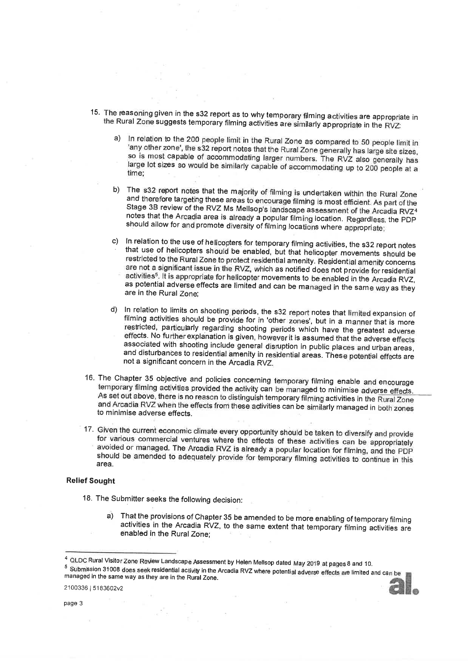- 15. The reasoning given in the s32 report as to why temporary filming activities are appropriate in the Rural Zone suggests temporary filming activities are similarly appropriate in the RVZ:
	- a) In relation to the 200 people limit in the Rural Zone as compared to 50 people limit in 'any other zone', the s32 report notes that the Rural Zone generally has large site sizes, so is most capable of accommodating larg time;
	- b) The s32 report notes that the majority of filming is undertaken within the Rural Zone and therefore targeting these areas to encourage filming is most efficient. As part of the Stage 3B review of the RVZ Ms Mellsop's la should allow for and promote diversity of filming locations where appropriate;
	- c) In relation to the use of helicopters for temporary filming activities, the s32 report notes<br>that use of helicopters should be enabled, but that helicopter movements should be<br>restricted to the Rural Zone to protect res activities<sup>5</sup>. It is appropriate for helicopter movements to be enabled in the Arcadia RVZ, as potential adverse effects are limited and can be managed in the same way as they are in the Rural Zone;
	- d) In relation to limits on shooting periods, the s32 report notes that limited expansion of filming activities should be provide for in 'other zones', but in a manner that is more restricted, particularly regarding shooti
- 16. The Chapter 35 objective and policies concerning temporary filming enable and encourage temporary filming activities provided the activity can be managed to minimise adverse effects. As set out above, there is no reaso
- 17. Given the current economic climate every opportunity should be taken to diversify and provide for various commercial ventures where the effects of these activities can be appropriately avoided or managed. The Arcadia RVZ is already a popular location for filming, and the PDP should be amended to adequately provide for temporary filming activities to continue in this area.

### Relief Sought

- 18. The Submifter seeks the following decision:
	- a) That the provisions of Chapter 35 be amended to be more enabling of temporary filming activities in the Arcadia RVZ, to the same extent that temporary filming activities are enabled in the Rural Zone;

<sup>&</sup>lt;sup>4</sup> QLDC Rural Visitor Zone Review Landscape Assessment by Helen Mellsop dated May 2019 at pages 8 and 10<br><sup>5</sup> Submission 31008 does seek residential activity in the Arcadia RVZ where potential adverse effects are limited managed in the same way as they are in the Rural Zone.<br> $2100336 | 5183602v2$ oes seek residential activity in the Arcadia RVZ where potential adverse effects are limited and can be<br>way as they are in the Rural Zone.